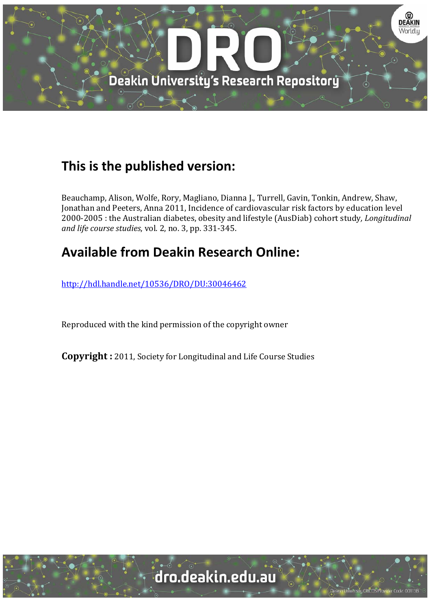

# **This is the published version:**

Beauchamp, Alison, Wolfe, Rory, Magliano, Dianna J., Turrell, Gavin, Tonkin, Andrew, Shaw, Jonathan and Peeters, Anna 2011, Incidence of cardiovascular risk factors by education level 2000‐2005 : the Australian diabetes, obesity and lifestyle (AusDiab) cohort study*, Longitudinal and life course studies*, vol. 2, no. 3, pp. 331‐345. 

# **Available from Deakin Research Online:**

http://hdl.handle.net/10536/DRO/DU:30046462

Reproduced with the kind permission of the copyright owner

**Copyright** : 2011, Society for Longitudinal and Life Course Studies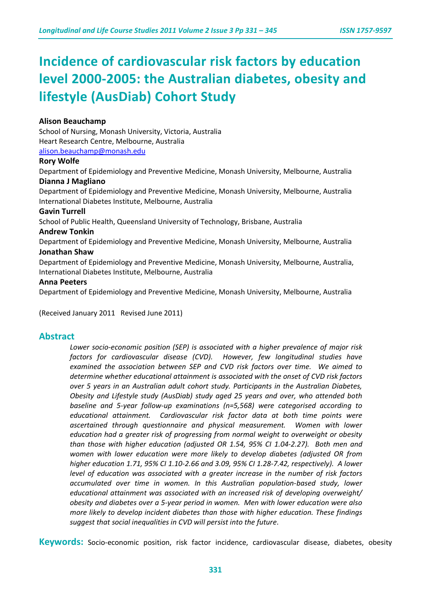# **Incidence of cardiovascular risk factors by education level 2000-2005: the Australian diabetes, obesity and lifestyle (AusDiab) Cohort Study**

## **Alison Beauchamp**

School of Nursing, Monash University, Victoria, Australia Heart Research Centre, Melbourne, Australia

[alison.beauchamp@monash.edu](mailto:alison.beauchamp@monash.edu)

### **Rory Wolfe**

Department of Epidemiology and Preventive Medicine, Monash University, Melbourne, Australia

#### **Dianna J Magliano**

Department of Epidemiology and Preventive Medicine, Monash University, Melbourne, Australia International Diabetes Institute, Melbourne, Australia

#### **Gavin Turrell**

School of Public Health, Queensland University of Technology, Brisbane, Australia

#### **Andrew Tonkin**

Department of Epidemiology and Preventive Medicine, Monash University, Melbourne, Australia

#### **Jonathan Shaw**

Department of Epidemiology and Preventive Medicine, Monash University, Melbourne, Australia, International Diabetes Institute, Melbourne, Australia

#### **Anna Peeters**

Department of Epidemiology and Preventive Medicine, Monash University, Melbourne, Australia

(Received January 2011 Revised June 2011)

## **Abstract**

*Lower socio-economic position (SEP) is associated with a higher prevalence of major risk factors for cardiovascular disease (CVD). However, few longitudinal studies have examined the association between SEP and CVD risk factors over time. We aimed to determine whether educational attainment is associated with the onset of CVD risk factors over 5 years in an Australian adult cohort study. Participants in the Australian Diabetes, Obesity and Lifestyle study (AusDiab) study aged 25 years and over, who attended both baseline and 5-year follow-up examinations (n=5,568) were categorised according to educational attainment. Cardiovascular risk factor data at both time points were ascertained through questionnaire and physical measurement. Women with lower education had a greater risk of progressing from normal weight to overweight or obesity than those with higher education (adjusted OR 1.54, 95% CI 1.04-2.27). Both men and women with lower education were more likely to develop diabetes (adjusted OR from higher education 1.71, 95% CI 1.10-2.66 and 3.09, 95% CI 1.28-7.42, respectively). A lower level of education was associated with a greater increase in the number of risk factors accumulated over time in women. In this Australian population-based study, lower educational attainment was associated with an increased risk of developing overweight/ obesity and diabetes over a 5-year period in women. Men with lower education were also more likely to develop incident diabetes than those with higher education. These findings suggest that social inequalities in CVD will persist into the future*.

**Keywords:** Socio-economic position, risk factor incidence, cardiovascular disease, diabetes, obesity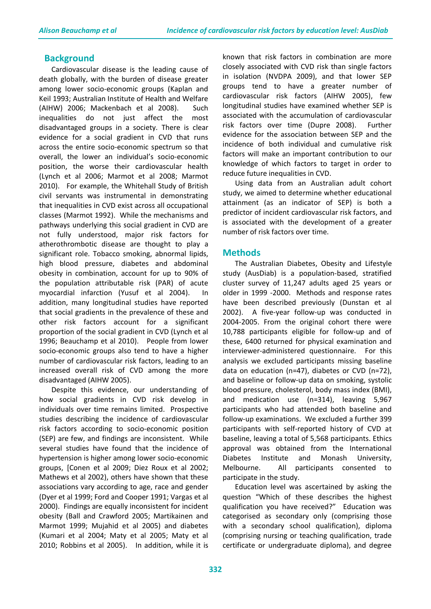# **Background**

Cardiovascular disease is the leading cause of death globally, with the burden of disease greater among lower socio-economic groups (Kaplan and Keil 1993; Australian Institute of Health and Welfare (AIHW) 2006; Mackenbach et al 2008). Such inequalities do not just affect the most disadvantaged groups in a society. There is clear evidence for a social gradient in CVD that runs across the entire socio-economic spectrum so that overall, the lower an individual's socio-economic position, the worse their cardiovascular health (Lynch et al 2006; Marmot et al 2008; Marmot 2010). For example, the Whitehall Study of British civil servants was instrumental in demonstrating that inequalities in CVD exist across all occupational classes (Marmot 1992). While the mechanisms and pathways underlying this social gradient in CVD are not fully understood, major risk factors for atherothrombotic disease are thought to play a significant role. Tobacco smoking, abnormal lipids, high blood pressure, diabetes and abdominal obesity in combination, account for up to 90% of the population attributable risk (PAR) of acute myocardial infarction (Yusuf et al 2004). In addition, many longitudinal studies have reported that social gradients in the prevalence of these and other risk factors account for a significant proportion of the social gradient in CVD (Lynch et al 1996; Beauchamp et al 2010). People from lower socio-economic groups also tend to have a higher number of cardiovascular risk factors, leading to an increased overall risk of CVD among the more disadvantaged (AIHW 2005).

Despite this evidence, our understanding of how social gradients in CVD risk develop in individuals over time remains limited. Prospective studies describing the incidence of cardiovascular risk factors according to socio-economic position (SEP) are few, and findings are inconsistent. While several studies have found that the incidence of hypertension is higher among lower socio-economic groups, [Conen et al 2009; Diez Roux et al 2002; Mathews et al 2002), others have shown that these associations vary according to age, race and gender (Dyer et al 1999; Ford and Cooper 1991; Vargas et al 2000). Findings are equally inconsistent for incident obesity (Ball and Crawford 2005; Martikainen and Marmot 1999; Mujahid et al 2005) and diabetes (Kumari et al 2004; Maty et al 2005; Maty et al 2010; Robbins et al 2005). In addition, while it is

known that risk factors in combination are more closely associated with CVD risk than single factors in isolation (NVDPA 2009), and that lower SEP groups tend to have a greater number of cardiovascular risk factors (AIHW 2005), few longitudinal studies have examined whether SEP is associated with the accumulation of cardiovascular risk factors over time (Dupre 2008). Further evidence for the association between SEP and the incidence of both individual and cumulative risk factors will make an important contribution to our knowledge of which factors to target in order to reduce future inequalities in CVD.

Using data from an Australian adult cohort study, we aimed to determine whether educational attainment (as an indicator of SEP) is both a predictor of incident cardiovascular risk factors, and is associated with the development of a greater number of risk factors over time.

## **Methods**

The Australian Diabetes, Obesity and Lifestyle study (AusDiab) is a population-based, stratified cluster survey of 11,247 adults aged 25 years or older in 1999 -2000. Methods and response rates have been described previously (Dunstan et al 2002). A five-year follow-up was conducted in 2004-2005. From the original cohort there were 10,788 participants eligible for follow-up and of these, 6400 returned for physical examination and interviewer-administered questionnaire. For this analysis we excluded participants missing baseline data on education (n=47), diabetes or CVD (n=72), and baseline or follow-up data on smoking, systolic blood pressure, cholesterol, body mass index (BMI), and medication use (n=314), leaving 5,967 participants who had attended both baseline and follow-up examinations. We excluded a further 399 participants with self-reported history of CVD at baseline, leaving a total of 5,568 participants. Ethics approval was obtained from the International Diabetes Institute and Monash University, Melbourne. All participants consented to participate in the study.

Education level was ascertained by asking the question "Which of these describes the highest qualification you have received?" Education was categorised as secondary only (comprising those with a secondary school qualification), diploma (comprising nursing or teaching qualification, trade certificate or undergraduate diploma), and degree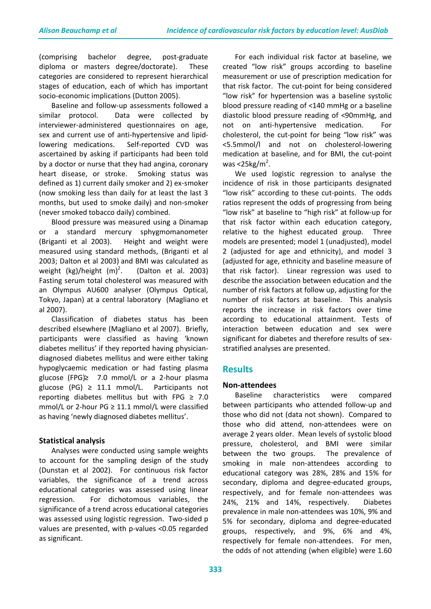(comprising bachelor degree, post-graduate diploma or masters degree/doctorate). These categories are considered to represent hierarchical stages of education, each of which has important socio-economic implications (Dutton 2005).

Baseline and follow-up assessments followed a similar protocol. Data were collected by interviewer-administered questionnaires on age, sex and current use of anti-hypertensive and lipidlowering medications. Self-reported CVD was ascertained by asking if participants had been told by a doctor or nurse that they had angina, coronary heart disease, or stroke. Smoking status was defined as 1) current daily smoker and 2) ex-smoker (now smoking less than daily for at least the last 3 months, but used to smoke daily) and non-smoker (never smoked tobacco daily) combined.

Blood pressure was measured using a Dinamap or a standard mercury sphygmomanometer (Briganti et al 2003). Height and weight were measured using standard methods, (Briganti et al 2003; Dalton et al 2003) and BMI was calculated as weight  $(kg)/$ height  $(m)^2$ . . (Dalton et al. 2003) Fasting serum total cholesterol was measured with an Olympus AU600 analyser (Olympus Optical, Tokyo, Japan) at a central laboratory (Magliano et al 2007).

Classification of diabetes status has been described elsewhere (Magliano et al 2007). Briefly, participants were classified as having 'known diabetes mellitus' if they reported having physiciandiagnosed diabetes mellitus and were either taking hypoglycaemic medication or had fasting plasma glucose (FPG) $\geq$  7.0 mmol/L or a 2-hour plasma glucose (PG)  $\geq$  11.1 mmol/L. Participants not reporting diabetes mellitus but with FPG  $\geq$  7.0 mmol/L or 2-hour PG ≥ 11.1 mmol/L were classified as having 'newly diagnosed diabetes mellitus'.

## **Statistical analysis**

Analyses were conducted using sample weights to account for the sampling design of the study (Dunstan et al 2002). For continuous risk factor variables, the significance of a trend across educational categories was assessed using linear regression. For dichotomous variables, the significance of a trend across educational categories was assessed using logistic regression. Two-sided p values are presented, with p-values <0.05 regarded as significant.

For each individual risk factor at baseline, we created "low risk" groups according to baseline measurement or use of prescription medication for that risk factor. The cut-point for being considered "low risk" for hypertension was a baseline systolic blood pressure reading of <140 mmHg or a baseline diastolic blood pressure reading of <90mmHg, and not on anti-hypertensive medication. For cholesterol, the cut-point for being "low risk" was <5.5mmol/l and not on cholesterol-lowering medication at baseline, and for BMI, the cut-point was  $<$ 25 $kg/m<sup>2</sup>$ .

We used logistic regression to analyse the incidence of risk in those participants designated "low risk" according to these cut-points. The odds ratios represent the odds of progressing from being "low risk" at baseline to "high risk" at follow-up for that risk factor within each education category, relative to the highest educated group. Three models are presented; model 1 (unadjusted), model 2 (adjusted for age and ethnicity), and model 3 (adjusted for age, ethnicity and baseline measure of that risk factor). Linear regression was used to describe the association between education and the number of risk factors at follow up, adjusting for the number of risk factors at baseline. This analysis reports the increase in risk factors over time according to educational attainment. Tests of interaction between education and sex were significant for diabetes and therefore results of sexstratified analyses are presented.

# **Results**

## **Non-attendees**

Baseline characteristics were compared between participants who attended follow-up and those who did not (data not shown). Compared to those who did attend, non-attendees were on average 2 years older. Mean levels of systolic blood pressure, cholesterol, and BMI were similar between the two groups. The prevalence of smoking in male non-attendees according to educational category was 28%, 28% and 15% for secondary, diploma and degree-educated groups, respectively, and for female non-attendees was 24%, 21% and 14%, respectively. Diabetes prevalence in male non-attendees was 10%, 9% and 5% for secondary, diploma and degree-educated groups, respectively, and 9%, 6% and 4%, respectively for female non-attendees. For men, the odds of not attending (when eligible) were 1.60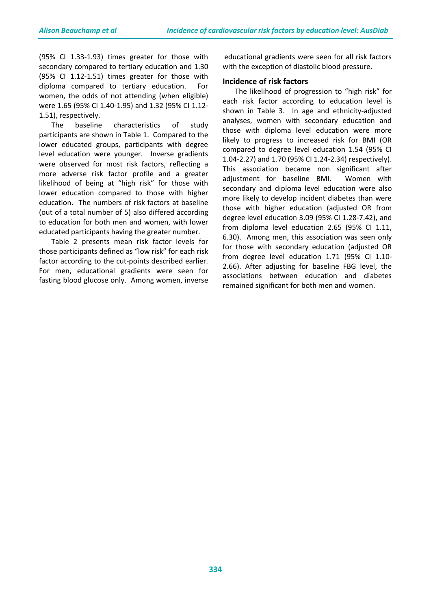(95% CI 1.33-1.93) times greater for those with secondary compared to tertiary education and 1.30 (95% CI 1.12-1.51) times greater for those with diploma compared to tertiary education. For women, the odds of not attending (when eligible) were 1.65 (95% CI 1.40-1.95) and 1.32 (95% CI 1.12- 1.51), respectively.

The baseline characteristics of study participants are shown in Table 1. Compared to the lower educated groups, participants with degree level education were younger. Inverse gradients were observed for most risk factors, reflecting a more adverse risk factor profile and a greater likelihood of being at "high risk" for those with lower education compared to those with higher education. The numbers of risk factors at baseline (out of a total number of 5) also differed according to education for both men and women, with lower educated participants having the greater number.

Table 2 presents mean risk factor levels for those participants defined as "low risk" for each risk factor according to the cut-points described earlier. For men, educational gradients were seen for fasting blood glucose only. Among women, inverse

educational gradients were seen for all risk factors with the exception of diastolic blood pressure.

### **Incidence of risk factors**

The likelihood of progression to "high risk" for each risk factor according to education level is shown in Table 3. In age and ethnicity-adjusted analyses, women with secondary education and those with diploma level education were more likely to progress to increased risk for BMI (OR compared to degree level education 1.54 (95% CI 1.04-2.27) and 1.70 (95% CI 1.24-2.34) respectively). This association became non significant after adjustment for baseline BMI. Women with secondary and diploma level education were also more likely to develop incident diabetes than were those with higher education (adjusted OR from degree level education 3.09 (95% CI 1.28-7.42), and from diploma level education 2.65 (95% CI 1.11, 6.30). Among men, this association was seen only for those with secondary education (adjusted OR from degree level education 1.71 (95% CI 1.10- 2.66). After adjusting for baseline FBG level, the associations between education and diabetes remained significant for both men and women.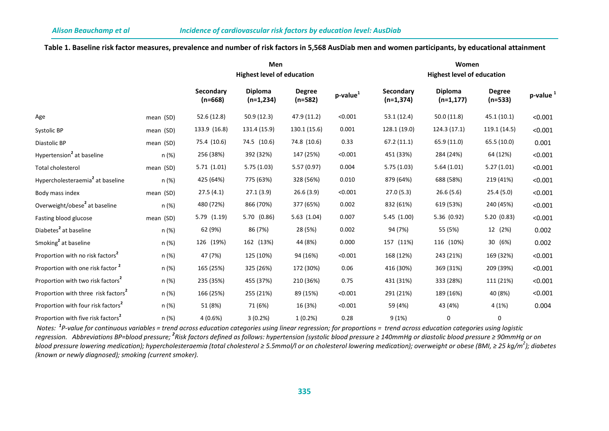#### **Table 1. Baseline risk factor measures, prevalence and number of risk factors in 5,568 AusDiab men and women participants, by educational attainment**

|                                                 |           |                        | Men<br><b>Highest level of education</b> |                            |                | Women<br><b>Highest level of education</b> |                                |                            |                      |  |  |
|-------------------------------------------------|-----------|------------------------|------------------------------------------|----------------------------|----------------|--------------------------------------------|--------------------------------|----------------------------|----------------------|--|--|
|                                                 |           | Secondary<br>$(n=668)$ | <b>Diploma</b><br>$(n=1,234)$            | <b>Degree</b><br>$(n=582)$ | $p$ -value $1$ | Secondary<br>$(n=1,374)$                   | <b>Diploma</b><br>$(n=1, 177)$ | <b>Degree</b><br>$(n=533)$ | p-value <sup>1</sup> |  |  |
| Age                                             | mean (SD) | 52.6 (12.8)            | 50.9(12.3)                               | 47.9 (11.2)                | < 0.001        | 53.1(12.4)                                 | 50.0(11.8)                     | 45.1 (10.1)                | < 0.001              |  |  |
| Systolic BP                                     | mean (SD) | 133.9 (16.8)           | 131.4 (15.9)                             | 130.1 (15.6)               | 0.001          | 128.1 (19.0)                               | 124.3 (17.1)                   | 119.1 (14.5)               | < 0.001              |  |  |
| Diastolic BP                                    | mean (SD) | 75.4 (10.6)            | 74.5 (10.6)                              | 74.8 (10.6)                | 0.33           | 67.2(11.1)                                 | 65.9 (11.0)                    | 65.5(10.0)                 | 0.001                |  |  |
| Hypertension <sup>2</sup> at baseline           | n (%)     | 256 (38%)              | 392 (32%)                                | 147 (25%)                  | < 0.001        | 451 (33%)                                  | 284 (24%)                      | 64 (12%)                   | < 0.001              |  |  |
| Total cholesterol                               | mean (SD) | 5.71(1.01)             | 5.75(1.03)                               | 5.57(0.97)                 | 0.004          | 5.75(1.03)                                 | 5.64(1.01)                     | 5.27(1.01)                 | < 0.001              |  |  |
| Hypercholesteraemia <sup>2</sup> at baseline    | n (%)     | 425 (64%)              | 775 (63%)                                | 328 (56%)                  | 0.010          | 879 (64%)                                  | 688 (58%)                      | 219 (41%)                  | < 0.001              |  |  |
| Body mass index                                 | mean (SD) | 27.5(4.1)              | 27.1(3.9)                                | 26.6(3.9)                  | < 0.001        | 27.0(5.3)                                  | 26.6(5.6)                      | 25.4(5.0)                  | < 0.001              |  |  |
| Overweight/obese <sup>2</sup> at baseline       | n (%)     | 480 (72%)              | 866 (70%)                                | 377 (65%)                  | 0.002          | 832 (61%)                                  | 619 (53%)                      | 240 (45%)                  | < 0.001              |  |  |
| Fasting blood glucose                           | mean (SD) | 5.79(1.19)             | 5.70 (0.86)                              | 5.63(1.04)                 | 0.007          | 5.45(1.00)                                 | 5.36 (0.92)                    | 5.20(0.83)                 | < 0.001              |  |  |
| Diabetes <sup>2</sup> at baseline               | n (%)     | 62 (9%)                | 86 (7%)                                  | 28 (5%)                    | 0.002          | 94 (7%)                                    | 55 (5%)                        | 12 (2%)                    | 0.002                |  |  |
| Smoking <sup>2</sup> at baseline                | n (%)     | 126 (19%)              | 162 (13%)                                | 44 (8%)                    | 0.000          | 157 (11%)                                  | 116 (10%)                      | 30 (6%)                    | 0.002                |  |  |
| Proportion with no risk factors <sup>2</sup>    | n (%)     | 47 (7%)                | 125 (10%)                                | 94 (16%)                   | < 0.001        | 168 (12%)                                  | 243 (21%)                      | 169 (32%)                  | < 0.001              |  |  |
| Proportion with one risk factor <sup>2</sup>    | n (%)     | 165 (25%)              | 325 (26%)                                | 172 (30%)                  | 0.06           | 416 (30%)                                  | 369 (31%)                      | 209 (39%)                  | < 0.001              |  |  |
| Proportion with two risk factors <sup>2</sup>   | n (%)     | 235 (35%)              | 455 (37%)                                | 210 (36%)                  | 0.75           | 431 (31%)                                  | 333 (28%)                      | 111 (21%)                  | < 0.001              |  |  |
| Proportion with three risk factors <sup>2</sup> | n (%)     | 166 (25%)              | 255 (21%)                                | 89 (15%)                   | < 0.001        | 291 (21%)                                  | 189 (16%)                      | 40 (8%)                    | < 0.001              |  |  |
| Proportion with four risk factors <sup>2</sup>  | n (%)     | 51 (8%)                | 71 (6%)                                  | 16 (3%)                    | < 0.001        | 59 (4%)                                    | 43 (4%)                        | 4 (1%)                     | 0.004                |  |  |
| Proportion with five risk factors <sup>2</sup>  | n (%)     | 4(0.6%)                | 3(0.2%)                                  | 1(0.2%)                    | 0.28           | 9(1%)                                      | 0                              | 0                          |                      |  |  |

*Notes:<sup>1</sup> P-value for continuous variables = trend across education categories using linear regression; for proportions = trend across education categories using logistic regression. Abbreviations BP=blood pressure; <sup>2</sup> Risk factors defined as follows: hypertension (systolic blood pressure ≥ 140mmHg or diastolic blood pressure ≥ 90mmHg or on blood pressure lowering medication); hypercholesteraemia (total cholesterol ≥ 5.5mmol/l or on cholesterol lowering medication); overweight or obese (BMI, ≥ 25 kg/m<sup>2</sup> ); diabetes (known or newly diagnosed); smoking (current smoker).*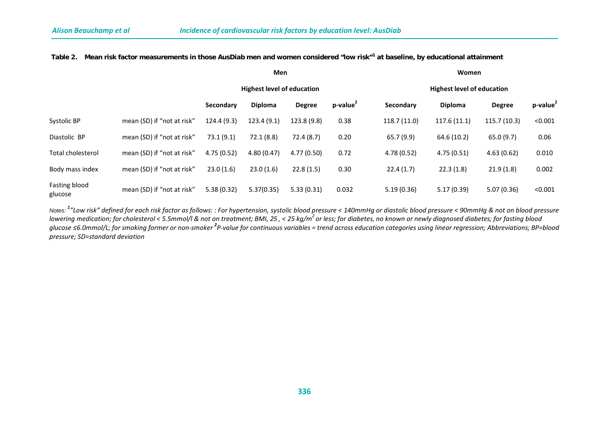|                          |                            |            | <b>Men</b>                        |               |                      | Women                             |                |               |                 |  |  |  |
|--------------------------|----------------------------|------------|-----------------------------------|---------------|----------------------|-----------------------------------|----------------|---------------|-----------------|--|--|--|
|                          |                            |            | <b>Highest level of education</b> |               |                      | <b>Highest level of education</b> |                |               |                 |  |  |  |
|                          |                            | Secondary  | <b>Diploma</b>                    | <b>Degree</b> | p-value <sup>2</sup> | Secondary                         | <b>Diploma</b> | <b>Degree</b> | $p$ -value $^2$ |  |  |  |
| Systolic BP              | mean (SD) if "not at risk" | 124.4(9.3) | 123.4(9.1)                        | 123.8 (9.8)   | 0.38                 | 118.7(11.0)                       | 117.6(11.1)    | 115.7(10.3)   | < 0.001         |  |  |  |
| Diastolic BP             | mean (SD) if "not at risk" | 73.1(9.1)  | 72.1(8.8)                         | 72.4(8.7)     | 0.20                 | 65.7(9.9)                         | 64.6 (10.2)    | 65.0(9.7)     | 0.06            |  |  |  |
| Total cholesterol        | mean (SD) if "not at risk" | 4.75(0.52) | 4.80(0.47)                        | 4.77(0.50)    | 0.72                 | 4.78(0.52)                        | 4.75(0.51)     | 4.63(0.62)    | 0.010           |  |  |  |
| Body mass index          | mean (SD) if "not at risk" | 23.0(1.6)  | 23.0(1.6)                         | 22.8(1.5)     | 0.30                 | 22.4(1.7)                         | 22.3(1.8)      | 21.9(1.8)     | 0.002           |  |  |  |
| Fasting blood<br>glucose | mean (SD) if "not at risk" | 5.38(0.32) | 5.37(0.35)                        | 5.33(0.31)    | 0.032                | 5.19(0.36)                        | 5.17(0.39)     | 5.07(0.36)    | < 0.001         |  |  |  |

#### **Table 2. Mean risk factor measurements in those AusDiab men and women considered "low risk"<sup>1</sup> at baseline, by educational attainment**

*Notes: <sup>1</sup> "Low risk" defined for each risk factor as follows: : For hypertension, systolic blood pressure < 140mmHg or diastolic blood pressure < 90mmHg & not on blood pressure lowering medication; for cholesterol < 5.5mmol/l & not on treatment; BMI, 25 , < 25 kg/m2 or less; for diabetes, no known or newly diagnosed diabetes; for fasting blood glucose ≤6.0mmol/L; for smoking former or non-smoker <sup>2</sup> P-value for continuous variables = trend across education categories using linear regression; Abbreviations; BP=blood pressure; SD=standard deviation*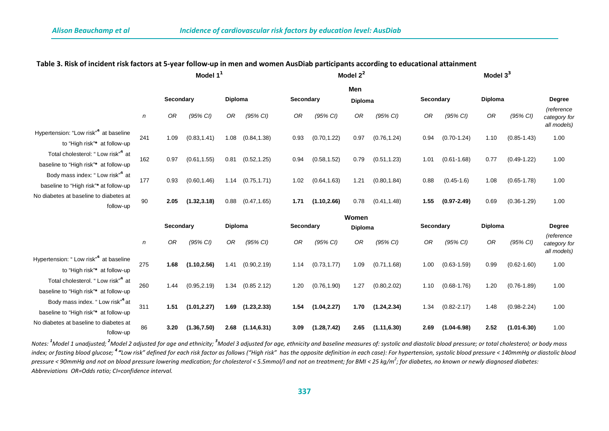|                                                                                        |                  | Model $11$ |              |         |              |      |                             | Model $2^2$ |                | Model $33$ |                 |         |                 |                                           |  |
|----------------------------------------------------------------------------------------|------------------|------------|--------------|---------|--------------|------|-----------------------------|-------------|----------------|------------|-----------------|---------|-----------------|-------------------------------------------|--|
|                                                                                        |                  |            |              |         |              |      |                             | Men         |                |            |                 |         |                 |                                           |  |
|                                                                                        |                  | Secondary  |              | Diploma |              |      | Secondary                   |             | <b>Diploma</b> |            | Secondary       |         | Diploma         |                                           |  |
|                                                                                        | $\boldsymbol{n}$ | OR         | (95% CI)     | 0R      | (95% CI)     | OR   | (95% CI)                    | 0R          | (95% CI)       | 0R         | (95% CI)        | OR      | (95% CI)        | (reference<br>category for<br>all models) |  |
| Hypertension: "Low risk" <sup>4</sup> at baseline<br>to "High risk"* at follow-up      | 241              | 1.09       | (0.83, 1.41) | 1.08    | (0.84, 1.38) | 0.93 | (0.70, 1.22)                | 0.97        | (0.76, 1.24)   | 0.94       | $(0.70 - 1.24)$ | 1.10    | $(0.85 - 1.43)$ | 1.00                                      |  |
| Total cholesterol: "Low risk" <sup>4</sup> at<br>baseline to "High risk"* at follow-up | 162              | 0.97       | (0.61, 1.55) | 0.81    | (0.52, 1.25) | 0.94 | (0.58, 1.52)                | 0.79        | (0.51, 1.23)   | 1.01       | $(0.61 - 1.68)$ | 0.77    | $(0.49 - 1.22)$ | 1.00                                      |  |
| Body mass index: "Low risk" <sup>4</sup> at<br>baseline to "High risk"* at follow-up   | 177              | 0.93       | (0.60, 1.46) | 1.14    | (0.75, 1.71) | 1.02 | (0.64, 1.63)                | 1.21        | (0.80, 1.84)   | 0.88       | $(0.45 - 1.6)$  | 1.08    | $(0.65 - 1.78)$ | 1.00                                      |  |
| No diabetes at baseline to diabetes at<br>follow-up                                    | 90               | 2.05       | (1.32, 3.18) | 0.88    | (0.47, 1.65) | 1.71 | (1.10, 2.66)                | 0.78        | (0.41, 1.48)   | 1.55       | $(0.97 - 2.49)$ | 0.69    | $(0.36 - 1.29)$ | 1.00                                      |  |
|                                                                                        |                  |            |              |         |              |      | Women                       |             |                |            |                 | Diploma |                 |                                           |  |
|                                                                                        |                  | Secondary  |              | Diploma |              |      | Secondary<br><b>Diploma</b> |             | Secondary      |            | Degree          |         |                 |                                           |  |
|                                                                                        | $\boldsymbol{n}$ | 0R         | (95% CI)     | 0R      | (95% CI)     | 0R   | (95% CI)                    | 0R          | (95% CI)       | 0R         | (95% CI)        | OR      | (95% CI)        | (reference<br>category for<br>all models) |  |
| Hypertension: " Low risk" <sup>4</sup> at baseline<br>to "High risk"* at follow-up     | 275              | 1.68       | (1.10, 2.56) | 1.41    | (0.90, 2.19) | 1.14 | (0.73, 1.77)                | 1.09        | (0.71, 1.68)   | 1.00       | $(0.63 - 1.59)$ | 0.99    | $(0.62 - 1.60)$ | 1.00                                      |  |
| Total cholesterol. "Low risk" <sup>4</sup> at<br>baseline to "High risk"* at follow-up | 260              | 1.44       | (0.95, 2.19) | 1.34    | (0.85 2.12)  | 1.20 | (0.76, 1.90)                | 1.27        | (0.80, 2.02)   | 1.10       | $(0.68 - 1.76)$ | 1.20    | $(0.76 - 1.89)$ | 1.00                                      |  |
| Body mass index. "Low risk" <sup>4</sup> at<br>baseline to "High risk"* at follow-up   | 311              | 1.51       | (1.01, 2.27) | 1.69    | (1.23, 2.33) | 1.54 | (1.04, 2.27)                | 1.70        | (1.24, 2.34)   | 1.34       | $(0.82 - 2.17)$ | 1.48    | $(0.98 - 2.24)$ | 1.00                                      |  |
| No diabetes at baseline to diabetes at<br>follow-up                                    | 86               | 3.20       | (1.36, 7.50) | 2.68    | (1.14, 6.31) | 3.09 | (1.28, 7.42)                | 2.65        | (1.11, 6.30)   | 2.69       | $(1.04 - 6.98)$ | 2.52    | $(1.01 - 6.30)$ | 1.00                                      |  |

#### **Table 3. Risk of incident risk factors at 5-year follow-up in men and women AusDiab participants according to educational attainment**

Notes: <sup>1</sup>Model 1 unadjusted; <sup>2</sup>Model 2 adjusted for age and ethnicity; <sup>3</sup>Model 3 adjusted for age, ethnicity and baseline measures of: systolic and diastolic blood pressure; or total cholesterol; or body mass index; or fasting blood glucose; <sup>4</sup> "Low risk" defined for each risk factor as follows ("High risk" has the opposite definition in each case): For hypertension, systolic blood pressure < 140mmHg or diastolic blood *pressure < 90mmHg and not on blood pressure lowering medication; for cholesterol < 5.5mmol/l and not on treatment; for BMI < 25 kg/m<sup>2</sup> ; for diabetes, no known or newly diagnosed diabetes: Abbreviations OR=Odds ratio; CI=confidence interval.*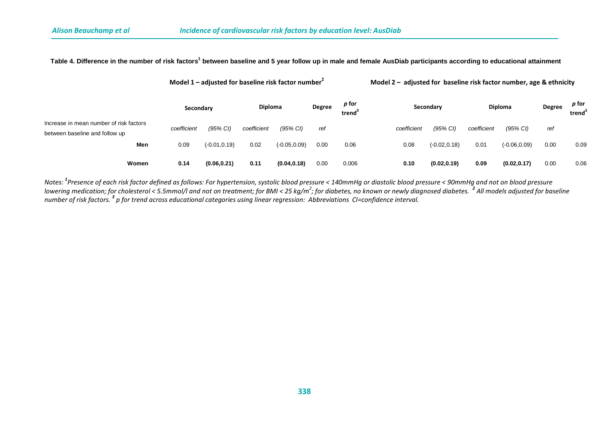## **Table 4. Difference in the number of risk factors1 between baseline and 5 year follow up in male and female AusDiab participants according to educational attainment**

**Model 1 – adjusted for baseline risk factor number<sup>2</sup> Model 2 – adjusted for baseline risk factor number, age & ethnicity**

|                                                                           | Secondary   |                 | <b>Diploma</b> |                 | Degree | p for<br>trend $^{\circ}$ |             | Secondary       |             | <b>Diploma</b>  |      | p for<br>trend <sup>3</sup> |
|---------------------------------------------------------------------------|-------------|-----------------|----------------|-----------------|--------|---------------------------|-------------|-----------------|-------------|-----------------|------|-----------------------------|
| Increase in mean number of risk factors<br>between baseline and follow up | coefficient | (95% CI)        | coefficient    | (95% CI)        | ref    |                           | coefficient | (95% CI)        | coefficient | (95% CI)        | ref  |                             |
| Men                                                                       | 0.09        | $(-0.01, 0.19)$ | 0.02           | $(-0.05, 0.09)$ | 0.00   | 0.06                      | 0.08        | $(-0.02, 0.18)$ | 0.01        | $(-0.06, 0.09)$ | 0.00 | 0.09                        |
| Women                                                                     | 0.14        | (0.06, 0.21)    | 0.11           | (0.04, 0.18)    | 0.00   | 0.006                     | 0.10        | (0.02, 0.19)    | 0.09        | (0.02, 0.17)    | 0.00 | 0.06                        |

*Notes: <sup>1</sup> Presence of each risk factor defined as follows: For hypertension, systolic blood pressure < 140mmHg or diastolic blood pressure < 90mmHg and not on blood pressure*  lowering medication; for cholesterol < 5.5mmol/l and not on treatment; for BMI < 25 kg/m<sup>2</sup>; for diabetes, no known or newly diagnosed diabetes. <sup>2</sup> All models adjusted for baseline *number of risk factors. <sup>3</sup> p for trend across educational categories using linear regression: Abbreviations CI=confidence interval.*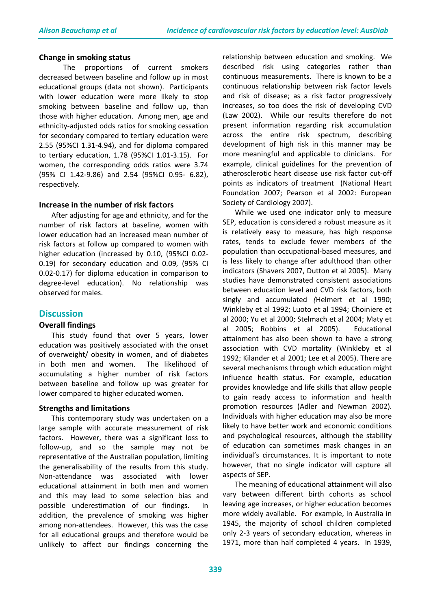#### **Change in smoking status**

The proportions of current smokers decreased between baseline and follow up in most educational groups (data not shown). Participants with lower education were more likely to stop smoking between baseline and follow up, than those with higher education. Among men, age and ethnicity-adjusted odds ratios for smoking cessation for secondary compared to tertiary education were 2.55 (95%CI 1.31-4.94), and for diploma compared to tertiary education, 1.78 (95%CI 1.01-3.15). For women, the corresponding odds ratios were 3.74 (95% CI 1.42-9.86) and 2.54 (95%CI 0.95- 6.82), respectively.

#### **Increase in the number of risk factors**

After adjusting for age and ethnicity, and for the number of risk factors at baseline, women with lower education had an increased mean number of risk factors at follow up compared to women with higher education (increased by 0.10, (95%CI 0.02- 0.19) for secondary education and 0.09, (95% CI 0.02-0.17) for diploma education in comparison to degree-level education). No relationship was observed for males.

## **Discussion**

#### **Overall findings**

This study found that over 5 years, lower education was positively associated with the onset of overweight/ obesity in women, and of diabetes in both men and women. The likelihood of accumulating a higher number of risk factors between baseline and follow up was greater for lower compared to higher educated women.

#### **Strengths and limitations**

This contemporary study was undertaken on a large sample with accurate measurement of risk factors. However, there was a significant loss to follow-up, and so the sample may not be representative of the Australian population, limiting the generalisability of the results from this study. Non-attendance was associated with lower educational attainment in both men and women and this may lead to some selection bias and possible underestimation of our findings. In addition, the prevalence of smoking was higher among non-attendees. However, this was the case for all educational groups and therefore would be unlikely to affect our findings concerning the

relationship between education and smoking. We described risk using categories rather than continuous measurements. There is known to be a continuous relationship between risk factor levels and risk of disease; as a risk factor progressively increases, so too does the risk of developing CVD (Law 2002). While our results therefore do not present information regarding risk accumulation across the entire risk spectrum, describing development of high risk in this manner may be more meaningful and applicable to clinicians. For example, clinical guidelines for the prevention of atherosclerotic heart disease use risk factor cut-off points as indicators of treatment (National Heart Foundation 2007; Pearson et al 2002: European Society of Cardiology 2007).

While we used one indicator only to measure SEP, education is considered a robust measure as it is relatively easy to measure, has high response rates, tends to exclude fewer members of the population than occupational-based measures, and is less likely to change after adulthood than other indicators (Shavers 2007, Dutton et al 2005). Many studies have demonstrated consistent associations between education level and CVD risk factors, both singly and accumulated *(*Helmert et al 1990; Winkleby et al 1992; Luoto et al 1994; Choiniere et al 2000; Yu et al 2000; Stelmach et al 2004; Maty et al 2005; Robbins et al 2005). Educational attainment has also been shown to have a strong association with CVD mortality (Winkleby et al 1992; Kilander et al 2001; Lee et al 2005). There are several mechanisms through which education might influence health status. For example, education provides knowledge and life skills that allow people to gain ready access to information and health promotion resources (Adler and Newman 2002). Individuals with higher education may also be more likely to have better work and economic conditions and psychological resources, although the stability of education can sometimes mask changes in an individual's circumstances. It is important to note however, that no single indicator will capture all aspects of SEP.

The meaning of educational attainment will also vary between different birth cohorts as school leaving age increases, or higher education becomes more widely available. For example, in Australia in 1945, the majority of school children completed only 2-3 years of secondary education, whereas in 1971, more than half completed 4 years. In 1939,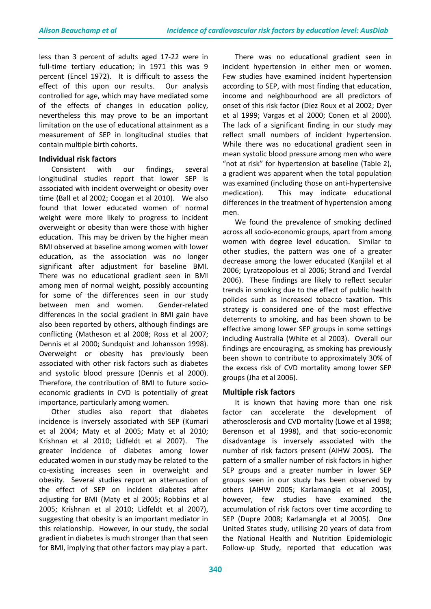less than 3 percent of adults aged 17-22 were in full-time tertiary education; in 1971 this was 9 percent (Encel 1972). It is difficult to assess the effect of this upon our results. Our analysis controlled for age, which may have mediated some of the effects of changes in education policy, nevertheless this may prove to be an important limitation on the use of educational attainment as a measurement of SEP in longitudinal studies that contain multiple birth cohorts.

## **Individual risk factors**

Consistent with our findings, several longitudinal studies report that lower SEP is associated with incident overweight or obesity over time (Ball et al 2002; Coogan et al 2010). We also found that lower educated women of normal weight were more likely to progress to incident overweight or obesity than were those with higher education. This may be driven by the higher mean BMI observed at baseline among women with lower education, as the association was no longer significant after adjustment for baseline BMI. There was no educational gradient seen in BMI among men of normal weight, possibly accounting for some of the differences seen in our study between men and women. Gender-related differences in the social gradient in BMI gain have also been reported by others, although findings are conflicting (Matheson et al 2008; Ross et al 2007; Dennis et al 2000; Sundquist and Johansson 1998). Overweight or obesity has previously been associated with other risk factors such as diabetes and systolic blood pressure (Dennis et al 2000). Therefore, the contribution of BMI to future socioeconomic gradients in CVD is potentially of great importance, particularly among women.

Other studies also report that diabetes incidence is inversely associated with SEP (Kumari et al 2004; Maty et al 2005; Maty et al 2010; Krishnan et al 2010; Lidfeldt et al 2007). The greater incidence of diabetes among lower educated women in our study may be related to the co-existing increases seen in overweight and obesity. Several studies report an attenuation of the effect of SEP on incident diabetes after adjusting for BMI (Maty et al 2005; Robbins et al 2005; Krishnan et al 2010; Lidfeldt et al 2007), suggesting that obesity is an important mediator in this relationship. However, in our study, the social gradient in diabetes is much stronger than that seen for BMI, implying that other factors may play a part.

There was no educational gradient seen in incident hypertension in either men or women. Few studies have examined incident hypertension according to SEP, with most finding that education, income and neighbourhood are all predictors of onset of this risk factor (Diez Roux et al 2002; Dyer et al 1999; Vargas et al 2000; Conen et al 2000). The lack of a significant finding in our study may reflect small numbers of incident hypertension. While there was no educational gradient seen in mean systolic blood pressure among men who were "not at risk" for hypertension at baseline (Table 2), a gradient was apparent when the total population was examined (including those on anti-hypertensive medication). This may indicate educational differences in the treatment of hypertension among men.

We found the prevalence of smoking declined across all socio-economic groups, apart from among women with degree level education. Similar to other studies, the pattern was one of a greater decrease among the lower educated (Kanjilal et al 2006; Lyratzopolous et al 2006; Strand and Tverdal 2006). These findings are likely to reflect secular trends in smoking due to the effect of public health policies such as increased tobacco taxation. This strategy is considered one of the most effective deterrents to smoking, and has been shown to be effective among lower SEP groups in some settings including Australia (White et al 2003). Overall our findings are encouraging, as smoking has previously been shown to contribute to approximately 30% of the excess risk of CVD mortality among lower SEP groups (Jha et al 2006).

## **Multiple risk factors**

It is known that having more than one risk factor can accelerate the development of atherosclerosis and CVD mortality (Lowe et al 1998; Berenson et al 1998), and that socio-economic disadvantage is inversely associated with the number of risk factors present (AIHW 2005). The pattern of a smaller number of risk factors in higher SEP groups and a greater number in lower SEP groups seen in our study has been observed by others (AIHW 2005; Karlamangla et al 2005), however, few studies have examined the accumulation of risk factors over time according to SEP (Dupre 2008; Karlamangla et al 2005). One United States study, utilising 20 years of data from the National Health and Nutrition Epidemiologic Follow-up Study, reported that education was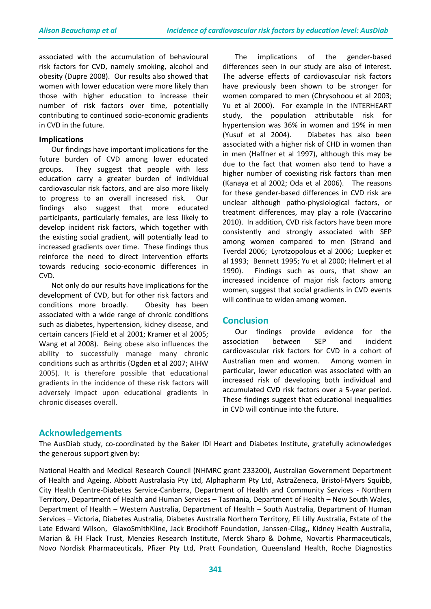associated with the accumulation of behavioural risk factors for CVD, namely smoking, alcohol and obesity (Dupre 2008). Our results also showed that women with lower education were more likely than those with higher education to increase their number of risk factors over time, potentially contributing to continued socio-economic gradients in CVD in the future.

#### **Implications**

Our findings have important implications for the future burden of CVD among lower educated groups. They suggest that people with less education carry a greater burden of individual cardiovascular risk factors, and are also more likely to progress to an overall increased risk. Our findings also suggest that more educated participants, particularly females, are less likely to develop incident risk factors, which together with the existing social gradient, will potentially lead to increased gradients over time. These findings thus reinforce the need to direct intervention efforts towards reducing socio-economic differences in CVD.

Not only do our results have implications for the development of CVD, but for other risk factors and conditions more broadly. Obesity has been associated with a wide range of chronic conditions such as diabetes, hypertension, kidney disease, and certain cancers (Field et al 2001; Kramer et al 2005; Wang et al 2008). Being obese also influences the ability to successfully manage many chronic conditions such as arthritis (Ogden et al 2007; AIHW 2005). It is therefore possible that educational gradients in the incidence of these risk factors will adversely impact upon educational gradients in chronic diseases overall.

The implications of the gender-based differences seen in our study are also of interest. The adverse effects of cardiovascular risk factors have previously been shown to be stronger for women compared to men (Chrysohoou et al 2003; Yu et al 2000). For example in the INTERHEART study, the population attributable risk for hypertension was 36% in women and 19% in men (Yusuf et al 2004). Diabetes has also been associated with a higher risk of CHD in women than in men (Haffner et al 1997), although this may be due to the fact that women also tend to have a higher number of coexisting risk factors than men (Kanaya et al 2002; Oda et al 2006). The reasons for these gender-based differences in CVD risk are unclear although patho-physiological factors, or treatment differences, may play a role (Vaccarino 2010). In addition, CVD risk factors have been more consistently and strongly associated with SEP among women compared to men (Strand and Tverdal 2006; Lyrotzopolous et al 2006; Luepker et al 1993; Bennett 1995; Yu et al 2000; Helmert et al 1990). Findings such as ours, that show an increased incidence of major risk factors among women, suggest that social gradients in CVD events will continue to widen among women.

## **Conclusion**

Our findings provide evidence for the association between SEP and incident cardiovascular risk factors for CVD in a cohort of Australian men and women. Among women in particular, lower education was associated with an increased risk of developing both individual and accumulated CVD risk factors over a 5-year period. These findings suggest that educational inequalities in CVD will continue into the future.

## **Acknowledgements**

The AusDiab study, co-coordinated by the Baker IDI Heart and Diabetes Institute, gratefully acknowledges the generous support given by:

National Health and Medical Research Council (NHMRC grant 233200), Australian Government Department of Health and Ageing. Abbott Australasia Pty Ltd, Alphapharm Pty Ltd, AstraZeneca, Bristol-Myers Squibb, City Health Centre-Diabetes Service-Canberra, Department of Health and Community Services - Northern Territory, Department of Health and Human Services – Tasmania, Department of Health – New South Wales, Department of Health – Western Australia, Department of Health – South Australia, Department of Human Services – Victoria, Diabetes Australia, Diabetes Australia Northern Territory, Eli Lilly Australia, Estate of the Late Edward Wilson, GlaxoSmithKline, Jack Brockhoff Foundation, Janssen-Cilag,, Kidney Health Australia, Marian & FH Flack Trust, Menzies Research Institute, Merck Sharp & Dohme, Novartis Pharmaceuticals, Novo Nordisk Pharmaceuticals, Pfizer Pty Ltd, Pratt Foundation, Queensland Health, Roche Diagnostics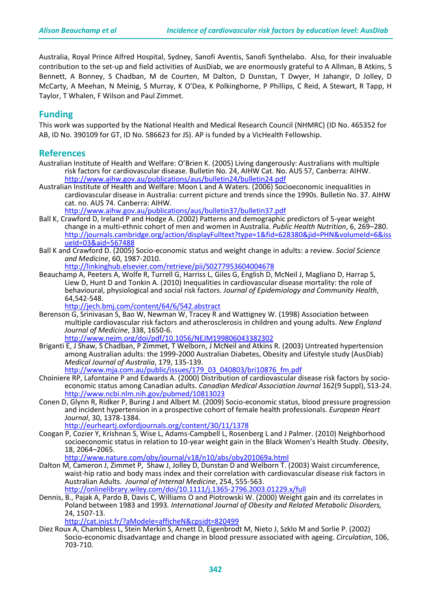Australia, Royal Prince Alfred Hospital, Sydney, Sanofi Aventis, Sanofi Synthelabo. Also, for their invaluable contribution to the set-up and field activities of AusDiab, we are enormously grateful to A Allman, B Atkins, S Bennett, A Bonney, S Chadban, M de Courten, M Dalton, D Dunstan, T Dwyer, H Jahangir, D Jolley, D McCarty, A Meehan, N Meinig, S Murray, K O'Dea, K Polkinghorne, P Phillips, C Reid, A Stewart, R Tapp, H Taylor, T Whalen, F Wilson and Paul Zimmet.

## **Funding**

This work was supported by the National Health and Medical Research Council (NHMRC) (ID No. 465352 for AB, ID No. 390109 for GT, ID No. 586623 for JS). AP is funded by a VicHealth Fellowship.

## **References**

- Australian Institute of Health and Welfare: O'Brien K. (2005) Living dangerously: Australians with multiple risk factors for cardiovascular disease. Bulletin No. 24, AIHW Cat. No. AUS 57, Canberra: AIHW. <http://www.aihw.gov.au/publications/aus/bulletin24/bulletin24.pdf>
- Australian Institute of Health and Welfare: Moon L and A Waters. (2006) Socioeconomic inequalities in cardiovascular disease in Australia: current picture and trends since the 1990s. Bulletin No. 37. AIHW cat. no. AUS 74. Canberra: AIHW.

<http://www.aihw.gov.au/publications/aus/bulletin37/bulletin37.pdf>

- Ball K, Crawford D, Ireland P and Hodge A. (2002) Patterns and demographic predictors of 5-year weight change in a multi-ethnic cohort of men and women in Australia. *Public Health Nutrition*, 6, 269–280. [http://journals.cambridge.org/action/displayFulltext?type=1&fid=628380&jid=PHN&volumeId=6&iss](http://journals.cambridge.org/action/displayFulltext?type=1&fid=628380&jid=PHN&volumeId=6&issueId=03&aid=567488) [ueId=03&aid=567488](http://journals.cambridge.org/action/displayFulltext?type=1&fid=628380&jid=PHN&volumeId=6&issueId=03&aid=567488)
- Ball K and Crawford D. (2005) Socio-economic status and weight change in adults: a review. *Social Science and Medicine*, 60, 1987-2010.
	- <http://linkinghub.elsevier.com/retrieve/pii/S0277953604004678>
- Beauchamp A, Peeters A, Wolfe R, Turrell G, Harriss L, Giles G, English D, McNeil J, Magliano D, Harrap S, Liew D, Hunt D and Tonkin A. (2010) Inequalities in cardiovascular disease mortality: the role of behavioural, physiological and social risk factors. *Journal of Epidemiology and Community Health*, 64,542-548.

<http://jech.bmj.com/content/64/6/542.abstract>

- Berenson G, Srinivasan S, Bao W, Newman W, Tracey R and Wattigney W. (1998) Association between multiple cardiovascular risk factors and atherosclerosis in children and young adults. *New England Journal of Medicine*, 338, 1650-6. <http://www.nejm.org/doi/pdf/10.1056/NEJM199806043382302>
- Briganti E, J Shaw, S Chadban, P Zimmet, T Welborn, J McNeil and Atkins R. (2003) Untreated hypertension among Australian adults: the 1999-2000 Australian Diabetes, Obesity and Lifestyle study (AusDiab)<br>Medical Journal of Australia, 179, 135-139.
- *Medical Journal Com.au/public/issues/179\_03\_040803/bri10876\_fm.pdf*<br>Choiniere RP. Lafontaine P and Edwards A. (2000) Distribution of cardiovascular disease risk factors by socioeconomic status among Canadian adults. *Canadian Medical Association Journal* 162(9 Suppl), S13-24. <http://www.ncbi.nlm.nih.gov/pubmed/10813023>
- Conen D, Glynn R, Ridker P, Buring J and Albert M. (2009) Socio-economic status, blood pressure progression and incident hypertension in a prospective cohort of female health professionals. *European Heart Journal*, 30, 1378-1384.

<http://eurheartj.oxfordjournals.org/content/30/11/1378>

Coogan P, Cozier Y, Krishnan S, Wise L, Adams-Campbell L, Rosenberg L and J Palmer. (2010) Neighborhood socioeconomic status in relation to 10-year weight gain in the Black Women's Health Study. *Obesity*, 18, 2064–2065.

<http://www.nature.com/oby/journal/v18/n10/abs/oby201069a.html>

- Dalton M, Cameron J, Zimmet P, Shaw J, Jolley D, Dunstan D and Welborn T. (2003) Waist circumference, waist-hip ratio and body mass index and their correlation with cardiovascular disease risk factors in Australian Adults. *Journal of Internal Medicine*, 254, 555-563. <http://onlinelibrary.wiley.com/doi/10.1111/j.1365-2796.2003.01229.x/full>
- Dennis, B., Pajak A, Pardo B, Davis C, Williams O and Piotrowski W. (2000) Weight gain and its correlates in Poland between 1983 and 1993*. International Journal of Obesity and Related Metabolic Disorders,* 24, 1507-13.

<http://cat.inist.fr/?aModele=afficheN&cpsidt=820499>

Diez Roux A, Chambless L, Stein Merkin S, Arnett D, Eigenbrodt M, Nieto J, Szklo M and Sorlie P. (2002) Socio-economic disadvantage and change in blood pressure associated with ageing. *Circulation*, 106, 703-710.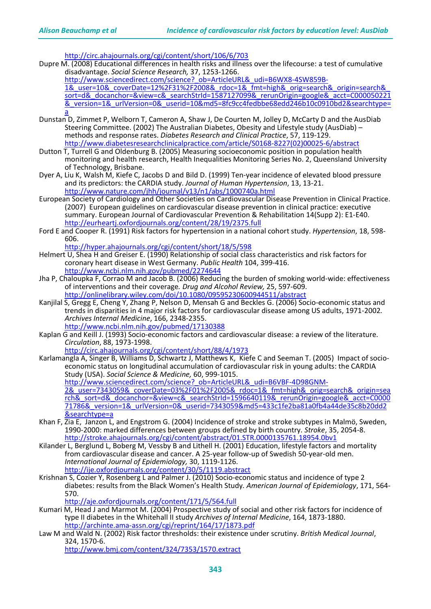<http://circ.ahajournals.org/cgi/content/short/106/6/703>

Dupre M. (2008) Educational differences in health risks and illness over the lifecourse: a test of cumulative disadvantage. Social Science Research, 37, 1253-1266.

dittp://www.sciencedirect.com/science?\_ob=ArticleURL&\_udi=B6WX8-4SW859B-<br>1& user=10& coverDate=12%2F31%2F2008&\_rdoc=1&\_fmt=high&\_orig=search&\_origin=search& [sort=d&\\_docanchor=&view=c&\\_searchStrId=1587127099&\\_rerunOrigin=google&\\_acct=C000050221](http://www.sciencedirect.com/science?_ob=ArticleURL&_udi=B6WX8-4SW859B-1&_user=10&_coverDate=12%2F31%2F2008&_rdoc=1&_fmt=high&_orig=search&_origin=search&_sort=d&_docanchor=&view=c&_searchStrId=1587127099&_rerunOrigin=google&_acct=C000050221&_version=1&_urlVersion=0&_userid=10&md5=8fc9cc4fedbbe68edd246b10c0910bd2&searchtype=a) [&\\_version=1&\\_urlVersion=0&\\_userid=10&md5=8fc9cc4fedbbe68edd246b10c0910bd2&searchtype=](http://www.sciencedirect.com/science?_ob=ArticleURL&_udi=B6WX8-4SW859B-1&_user=10&_coverDate=12%2F31%2F2008&_rdoc=1&_fmt=high&_orig=search&_origin=search&_sort=d&_docanchor=&view=c&_searchStrId=1587127099&_rerunOrigin=google&_acct=C000050221&_version=1&_urlVersion=0&_userid=10&md5=8fc9cc4fedbbe68edd246b10c0910bd2&searchtype=a) [a](http://www.sciencedirect.com/science?_ob=ArticleURL&_udi=B6WX8-4SW859B-1&_user=10&_coverDate=12%2F31%2F2008&_rdoc=1&_fmt=high&_orig=search&_origin=search&_sort=d&_docanchor=&view=c&_searchStrId=1587127099&_rerunOrigin=google&_acct=C000050221&_version=1&_urlVersion=0&_userid=10&md5=8fc9cc4fedbbe68edd246b10c0910bd2&searchtype=a)

- Dunstan D, Zimmet P, Welborn T, Cameron A, Shaw J, De Courten M, Jolley D, McCarty D and the AusDiab Steering Committee. (2002) The Australian Diabetes, Obesity and Lifestyle study (AusDiab) – methods and response rates. *Diabetes Research and Clinical Practice*, 57, 119-129. [http://www.diabetesresearchclinicalpractice.com/article/S0168-8227\(02\)00025-6/abstract](http://www.diabetesresearchclinicalpractice.com/article/S0168-8227(02)00025-6/abstract)
- Dutton T, Turrell G and Oldenburg B. (2005) Measuring socioeconomic position in population health monitoring and health research, Health Inequalities Monitoring Series No. 2, Queensland University of Technology, Brisbane.
- Dyer A, Liu K, Walsh M, Kiefe C, Jacobs D and Bild D. (1999) Ten-year incidence of elevated blood pressure and its predictors: the CARDIA study. *Journal of Human Hypertension*, 13, 13-21. <http://www.nature.com/jhh/journal/v13/n1/abs/1000740a.html>
- European Society of Cardiology and Other Societies on Cardiovascular Disease Prevention in Clinical Practice. (2007) European guidelines on cardiovascular disease prevention in clinical practice: executive summary. European Journal of Cardiovascular Prevention & Rehabilitation 14(Supp 2): E1-E40. <http://eurheartj.oxfordjournals.org/content/28/19/2375.full>
- Ford E and Cooper R. (1991) Risk factors for hypertension in a national cohort study. *Hypertension*, 18, 598- 606.

<http://hyper.ahajournals.org/cgi/content/short/18/5/598>

- Helmert U, Shea H and Greiser E. (1990) Relationship of social class characteristics and risk factors for coronary heart disease in West Germany. *Public Health* 104, 399-416. <http://www.ncbi.nlm.nih.gov/pubmed/2274644>
- Jha P, Chaloupka F, Corrao M and Jacob B. (2006) Reducing the burden of smoking world-wide: effectiveness of interventions and their coverage*. Drug and Alcohol Review,* 25, 597-609. <http://onlinelibrary.wiley.com/doi/10.1080/09595230600944511/abstract>
- Kanjilal S, Gregg E, Cheng Y, Zhang P, Nelson D, Mensah G and Beckles G. (2006) Socio-economic status and trends in disparities in 4 major risk factors for cardiovascular disease among US adults, 1971-2002*. Archives Internal Medicine*, 166, 2348-2355. <http://www.ncbi.nlm.nih.gov/pubmed/17130388>
- Kaplan G and Keill J. (1993) Socio-economic factors and cardiovascular disease: a review of the literature.

*Circulation*, 88, 1973-1998. <http://circ.ahajournals.org/cgi/content/short/88/4/1973>

- Karlamangla A, Singer B, Williams D, Schwartz J, Matthews K, Kiefe C and Seeman T. (2005) Impact of socio- economic status on longitudinal accumulation of cardiovascular risk in young adults: the CARDIA Study (USA). *Social Science & Medicine,* 60, 999-1015. <u>[http://www.sciencedirect.com/science?\\_ob=ArticleURL&\\_udi=B6VBF-4D98GNM-](http://www.sciencedirect.com/science?_ob=ArticleURL&_udi=B6VBF-4D98GNM-2&_user=7343059&_coverDate=03%2F01%2F2005&_rdoc=1&_fmt=high&_orig=search&_origin=search&_sort=d&_docanchor=&view=c&_searchStrId=1596640119&_rerunOrigin=google&_acct=C000071786&_version=1&_urlVersion=0&_userid=7343059&md5=433c1fe2ba81a0fb4a44de35c8b20dd2&searchtype=a)</u><br><u>[2&\\_user=7343059&\\_coverDate=03%2F01%2F2005&\\_rdoc=1&\\_fmt=high&\\_orig=search&\\_origin=sea](http://www.sciencedirect.com/science?_ob=ArticleURL&_udi=B6VBF-4D98GNM-2&_user=7343059&_coverDate=03%2F01%2F2005&_rdoc=1&_fmt=high&_orig=search&_origin=search&_sort=d&_docanchor=&view=c&_searchStrId=1596640119&_rerunOrigin=google&_acct=C000071786&_version=1&_urlVersion=0&_userid=7343059&md5=433c1fe2ba81a0fb4a44de35c8b20dd2&searchtype=a)</u> [rch&\\_sort=d&\\_docanchor=&view=c&\\_searchStrId=1596640119&\\_rerunOrigin=google&\\_acct=C0000](http://www.sciencedirect.com/science?_ob=ArticleURL&_udi=B6VBF-4D98GNM-2&_user=7343059&_coverDate=03%2F01%2F2005&_rdoc=1&_fmt=high&_orig=search&_origin=search&_sort=d&_docanchor=&view=c&_searchStrId=1596640119&_rerunOrigin=google&_acct=C000071786&_version=1&_urlVersion=0&_userid=7343059&md5=433c1fe2ba81a0fb4a44de35c8b20dd2&searchtype=a) [71786&\\_version=1&\\_urlVersion=0&\\_userid=7343059&md5=433c1fe2ba81a0fb4a44de35c8b20dd2](http://www.sciencedirect.com/science?_ob=ArticleURL&_udi=B6VBF-4D98GNM-2&_user=7343059&_coverDate=03%2F01%2F2005&_rdoc=1&_fmt=high&_orig=search&_origin=search&_sort=d&_docanchor=&view=c&_searchStrId=1596640119&_rerunOrigin=google&_acct=C000071786&_version=1&_urlVersion=0&_userid=7343059&md5=433c1fe2ba81a0fb4a44de35c8b20dd2&searchtype=a) [&searchtype=a](http://www.sciencedirect.com/science?_ob=ArticleURL&_udi=B6VBF-4D98GNM-2&_user=7343059&_coverDate=03%2F01%2F2005&_rdoc=1&_fmt=high&_orig=search&_origin=search&_sort=d&_docanchor=&view=c&_searchStrId=1596640119&_rerunOrigin=google&_acct=C000071786&_version=1&_urlVersion=0&_userid=7343059&md5=433c1fe2ba81a0fb4a44de35c8b20dd2&searchtype=a)
- Khan F, Zia E, Janzon L, and Engstrom G. (2004) Incidence of stroke and stroke subtypes in Malmö, Sweden, 1990-2000: marked differences between groups defined by birth country. *Stroke*, 35, 2054-8. <http://stroke.ahajournals.org/cgi/content/abstract/01.STR.0000135761.18954.0bv1>
- Kilander L, Berglund L, Boberg M, Vessby B and Lithell H. (2001) Education, lifestyle factors and mortality from cardiovascular disease and cancer. A 25-year follow-up of Swedish 50-year-old men. *International Journal of Epidemiology,* 30, 1119-1126. <http://ije.oxfordjournals.org/content/30/5/1119.abstract>
- Krishnan S, Cozier Y, Rosenberg L and Palmer J. (2010) Socio-economic status and incidence of type 2 diabetes: results from the Black Women's Health Study*. American Journal of Epidemiology*, 171, 564- 570.

<http://aje.oxfordjournals.org/content/171/5/564.full>

- Kumari M, Head J and Marmot M. (2004) Prospective study of social and other risk factors for incidence of type II diabetes in the Whitehall II study *Archives of Internal Medicine*, 164, 1873-1880. <http://archinte.ama-assn.org/cgi/reprint/164/17/1873.pdf>
- Law M and Wald N. (2002) Risk factor thresholds: their existence under scrutiny. *British Medical Journal*, 324, 1570-6.

<http://www.bmj.com/content/324/7353/1570.extract>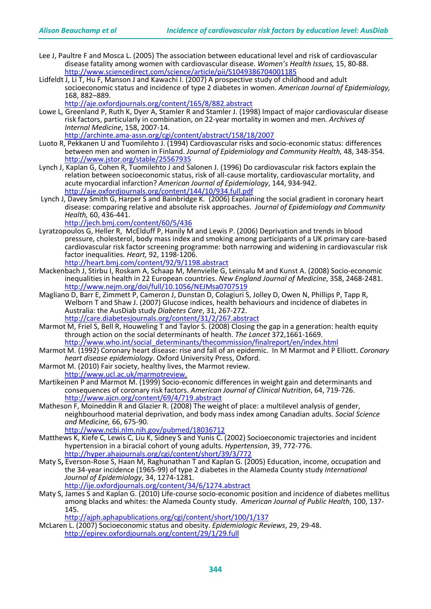- Lee J, Paultre F and Mosca L. (2005) The association between educational level and risk of cardiovascular disease fatality among women with cardiovascular disease. *Women's Health Issues,* 15, 80-88. <http://www.sciencedirect.com/science/article/pii/S1049386704001185>
- Lidfeldt J, Li T, Hu F, Manson J and Kawachi I. (2007) A prospective study of childhood and adult socioeconomic status and incidence of type 2 diabetes in women. *American Journal of Epidemiology,* 168, 882–889. <http://aje.oxfordjournals.org/content/165/8/882.abstract>
- Lowe L, Greenland P, Ruth K, Dyer A, Stamler R and Stamler J. (1998) Impact of major cardiovascular disease risk factors, particularly in combination, on 22-year mortality in women and men*. Archives of Internal Medicine*, 158, 2007-14. <http://archinte.ama-assn.org/cgi/content/abstract/158/18/2007>
- Luoto R, Pekkanen U and Tuomilehto J. (1994) Cardiovascular risks and socio-economic status: differences between men and women in Finland. *Journal of Epidemiology and Community Health,* 48, 348-354. <http://www.jstor.org/stable/25567935>
- Lynch J, Kaplan G, Cohen R, Tuomilehto J and Salonen J. (1996) Do cardiovascular risk factors explain the relation between socioeconomic status, risk of all-cause mortality, cardiovascular mortality, and acute myocardial infarction? *American Journal of Epidemiology*, 144, 934-942. <http://aje.oxfordjournals.org/content/144/10/934.full.pdf>
- Lynch J, Davey Smith G, Harper S and Bainbridge K. (2006) Explaining the social gradient in coronary heart disease: comparing relative and absolute risk approaches. *Journal of Epidemiology and Community Health,* 60, 436-441.

<http://jech.bmj.com/content/60/5/436>

- Lyratzopoulos G, [Heller](http://heart.bmj.com/search?author1=R+F+Heller&sortspec=date&submit=Submit) R, [McElduff](http://heart.bmj.com/search?author1=P+McElduff&sortspec=date&submit=Submit) P[, Hanily](http://heart.bmj.com/search?author1=M+Hanily&sortspec=date&submit=Submit) M and Lewis P. (2006) Deprivation and trends in blood pressure, cholesterol, body mass index and smoking among participants of a UK primary care-based cardiovascular risk factor screening programme: both narrowing and widening in cardiovascular risk factor inequalities*. Heart,* 92, 1198-1206. <http://heart.bmj.com/content/92/9/1198.abstract>
- Mackenbach J, Stirbu I, Roskam A, Schaap M, Menvielle G, Leinsalu M and Kunst A. (2008) Socio-economic inequalities in health in 22 European countries. *New England Journal of Medicine*, 358, 2468-2481.<br><http://www.nejm.org/doi/full/10.1056/NEJMsa0707519>
- Magliano D, Barr E, Zimmett P, Cameron J, Dunstan D, Colagiuri S, Jolley D, Owen N, Phillips P, Tapp R,<br>Welborn T and Shaw J. (2007) Glucose indices, health behaviours and incidence of diabetes in<br>Australia: the AusDiab st Australia: the AusDiab study *Diabetes Care*, 31, 267-272. <http://care.diabetesjournals.org/content/31/2/267.abstract>
- Marmot M, Friel S, Bell R, Houweling T and Taylor S. (2008) Closing the gap in a generation: health equity through action on the social determinants of health. The Lancet 372,1661-1669. [http://www.who.int/social\\_determinants/thecommission/finalreport/en/index.html](http://www.who.int/social_determinants/thecommission/finalreport/en/index.html)
- Marmot M. (1992) Coronary heart disease: rise and fall of an epidemic. In M Marmot and P Elliott. *Coronary*
- *Marmot M. (2010) Fair society, healthy lives, the Marmot review.* http://www.ucl.ac.uk/marmot review.
- Martikeinen P and Marmot M. (1999) Socio-economic differences in weight gain and determinants and consequences of coronary risk factors. *American Journal of Clinical Nutrition*, 64, 719-726. <http://www.ajcn.org/content/69/4/719.abstract>
- Matheson F, Moineddin R and Glazier R. (2008) The weight of place: a multilevel analysis of gender, neighbourhood material deprivation, and body mass index among Canadian adults*. Social Science and Medicine,* 66, 675-90. <http://www.ncbi.nlm.nih.gov/pubmed/18036712>
- Matthews K, Kiefe C, Lewis C, Liu K, Sidney S and Yunis C. (2002) Socioeconomic trajectories and incident hypertension in a biracial cohort of young adults. *Hypertension*, 39, 772-776. <http://hyper.ahajournals.org/cgi/content/short/39/3/772>
- Maty S**,** Everson-Rose S, Haan M, Raghunathan T and Kaplan G. (2005) Education, income, occupation and the 34-year incidence (1965-99) of type 2 diabetes in the Alameda County study *International Journal of Epidemiology*, 34, 1274-1281. <http://ije.oxfordjournals.org/content/34/6/1274.abstract>
- Maty S, James S and Kaplan G. (2010) Life-course socio-economic position and incidence of diabetes mellitus among blacks and whites: the Alameda County study. *American Journal of Public Health*, 100, 137-<br>145.<br><http://ajph.aphapublications.org/cgi/content/short/100/1/137>

McLaren L. (2007) Socioeconomic status and obesity. *Epidemiologic Reviews*, 29, 29-48. <http://epirev.oxfordjournals.org/content/29/1/29.full>